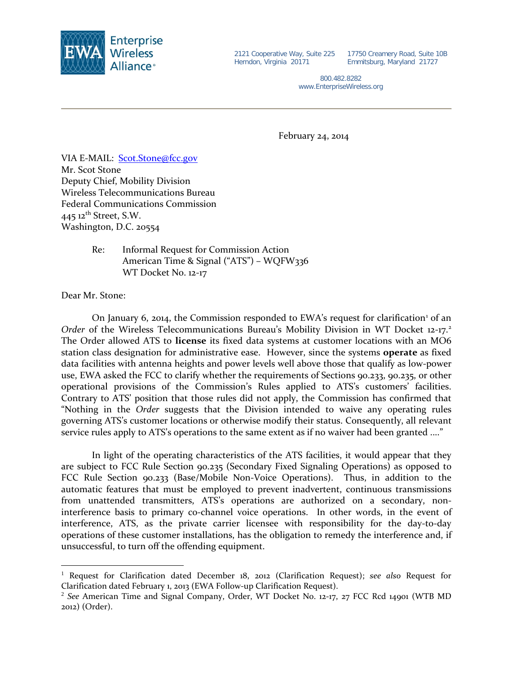

2121 Cooperative Way, Suite 225 Herndon, Virginia 20171

17750 Creamery Road, Suite 10B Emmitsburg, Maryland 21727

800.482.8282 www.EnterpriseWireless.org

February 24, 2014

VIA E-MAIL: [Scot.Stone@fcc.gov](mailto:Scot.Stone@fcc.gov) Mr. Scot Stone Deputy Chief, Mobility Division Wireless Telecommunications Bureau Federal Communications Commission 445 12<sup>th</sup> Street, S.W. Washington, D.C. 20554

> Re: Informal Request for Commission Action American Time & Signal ("ATS") – WQFW336 WT Docket No. 12-17

Dear Mr. Stone:

 $\overline{a}$ 

On January 6, 20[1](#page-0-0)4, the Commission responded to EWA's request for clarification<sup>1</sup> of an *Order* of the Wireless Telecommunications Bureau's Mobility Division in WT Docket 1[2](#page-0-1)-17.<sup>2</sup> The Order allowed ATS to **license** its fixed data systems at customer locations with an MO6 station class designation for administrative ease. However, since the systems **operate** as fixed data facilities with antenna heights and power levels well above those that qualify as low-power use, EWA asked the FCC to clarify whether the requirements of Sections 90.233, 90.235, or other operational provisions of the Commission's Rules applied to ATS's customers' facilities. Contrary to ATS' position that those rules did not apply, the Commission has confirmed that "Nothing in the *Order* suggests that the Division intended to waive any operating rules governing ATS's customer locations or otherwise modify their status. Consequently, all relevant service rules apply to ATS's operations to the same extent as if no waiver had been granted ...."

In light of the operating characteristics of the ATS facilities, it would appear that they are subject to FCC Rule Section 90.235 (Secondary Fixed Signaling Operations) as opposed to FCC Rule Section 90.233 (Base/Mobile Non-Voice Operations). Thus, in addition to the automatic features that must be employed to prevent inadvertent, continuous transmissions from unattended transmitters, ATS's operations are authorized on a secondary, noninterference basis to primary co-channel voice operations. In other words, in the event of interference, ATS, as the private carrier licensee with responsibility for the day-to-day operations of these customer installations, has the obligation to remedy the interference and, if unsuccessful, to turn off the offending equipment.

<span id="page-0-0"></span><sup>1</sup> Request for Clarification dated December 18, 2012 (Clarification Request); *see also* Request for Clarification dated February 1, 2013 (EWA Follow-up Clarification Request).

<span id="page-0-1"></span><sup>2</sup> *See* American Time and Signal Company, Order, WT Docket No. 12-17, 27 FCC Rcd 14901 (WTB MD 2012) (Order).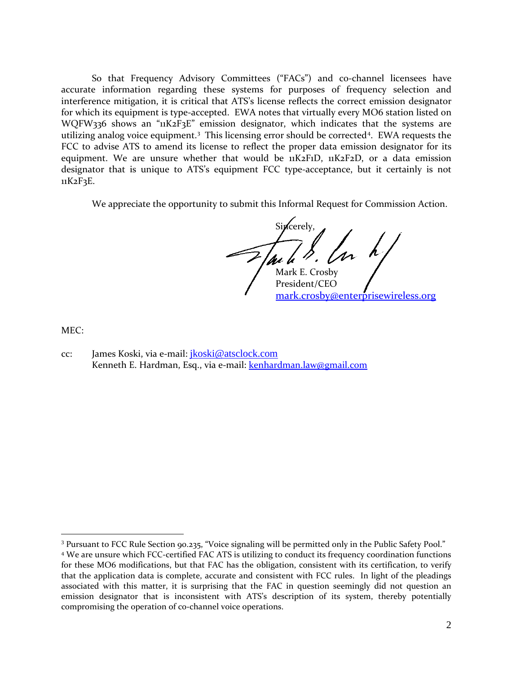So that Frequency Advisory Committees ("FACs") and co-channel licensees have accurate information regarding these systems for purposes of frequency selection and interference mitigation, it is critical that ATS's license reflects the correct emission designator for which its equipment is type-accepted. EWA notes that virtually every MO6 station listed on WQFW336 shows an "11K2F3E" emission designator, which indicates that the systems are utilizing analog voice equipment.<sup>[3](#page-1-0)</sup> This licensing error should be corrected<sup>[4](#page-1-1)</sup>. EWA requests the FCC to advise ATS to amend its license to reflect the proper data emission designator for its equipment. We are unsure whether that would be 11K2F1D, 11K2F2D, or a data emission designator that is unique to ATS's equipment FCC type-acceptance, but it certainly is not 11K2F3E.

We appreciate the opportunity to submit this Informal Request for Commission Action.

Sincerely. Mark E. Crosby

President/CEO [mark.crosby@enterprisewireless.org](mailto:mark.crosby@enterprisewireless.org)

MEC:

 $\overline{a}$ 

cc: James Koski, via e-mail: [jkoski@atsclock.com](mailto:jkoski@atsclock.com) Kenneth E. Hardman, Esq., via e-mail: [kenhardman.law@gmail.com](mailto:kenhardman.law@gmail.com)

<span id="page-1-0"></span><sup>&</sup>lt;sup>3</sup> Pursuant to FCC Rule Section 90.235, "Voice signaling will be permitted only in the Public Safety Pool."

<span id="page-1-1"></span><sup>4</sup> We are unsure which FCC-certified FAC ATS is utilizing to conduct its frequency coordination functions for these MO6 modifications, but that FAC has the obligation, consistent with its certification, to verify that the application data is complete, accurate and consistent with FCC rules. In light of the pleadings associated with this matter, it is surprising that the FAC in question seemingly did not question an emission designator that is inconsistent with ATS's description of its system, thereby potentially compromising the operation of co-channel voice operations.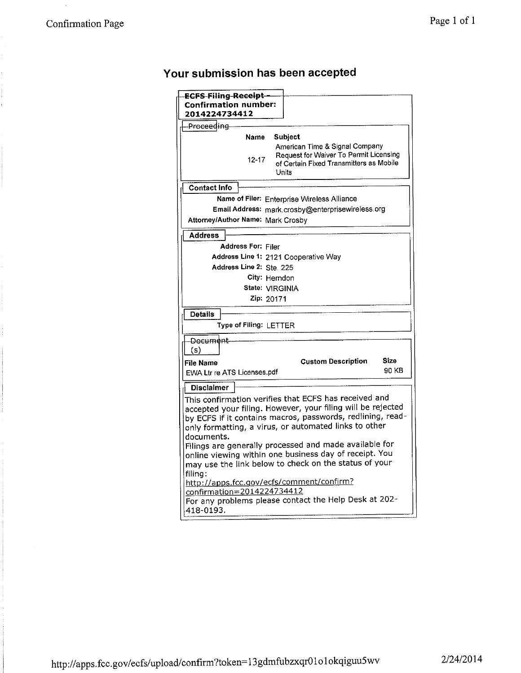# Your submission has been accepted

| ECFS-Filing-Receipt-<br>Confirmation number:<br>2014224734412                                                                                                                                                                                             |               |
|-----------------------------------------------------------------------------------------------------------------------------------------------------------------------------------------------------------------------------------------------------------|---------------|
| -Proceeding                                                                                                                                                                                                                                               |               |
| Name<br>Subject                                                                                                                                                                                                                                           |               |
| American Time & Signal Company<br>Request for Waiver To Permit Licensing<br>12-17<br>of Certain Fixed Transmitters as Mobile<br>Units                                                                                                                     |               |
| <b>Contact Info</b>                                                                                                                                                                                                                                       |               |
| Name of Filer: Enterprise Wireless Alliance                                                                                                                                                                                                               |               |
| Email Address: mark.crosby@enterprisewireless.org                                                                                                                                                                                                         |               |
| Attorney/Author Name: Mark Crosby                                                                                                                                                                                                                         |               |
| <b>Address</b>                                                                                                                                                                                                                                            |               |
| <b>Address For: Filer</b>                                                                                                                                                                                                                                 |               |
| Address Line 1: 2121 Cooperative Way                                                                                                                                                                                                                      |               |
| Address Line 2: Ste. 225                                                                                                                                                                                                                                  |               |
| City: Herndon                                                                                                                                                                                                                                             |               |
| State: VIRGINIA<br>Zip: 20171                                                                                                                                                                                                                             |               |
|                                                                                                                                                                                                                                                           |               |
| <b>Details</b>                                                                                                                                                                                                                                            |               |
| Type of Filing: LETTER                                                                                                                                                                                                                                    |               |
| -Docum <del>ent</del>                                                                                                                                                                                                                                     |               |
| (s)                                                                                                                                                                                                                                                       |               |
| <b>Custom Description</b><br>File Name                                                                                                                                                                                                                    | Size<br>90 KB |
| EWA Ltr re ATS Licenses.pdf                                                                                                                                                                                                                               |               |
| <b>Disclaimer</b>                                                                                                                                                                                                                                         |               |
| This confirmation verifies that ECFS has received and<br>accepted your filing. However, your filing will be rejected<br>by ECFS if it contains macros, passwords, redlining, read-<br>only formatting, a virus, or automated links to other<br>documents. |               |
| Filings are generally processed and made available for<br>online viewing within one business day of receipt. You<br>may use the link below to check on the status of your                                                                                 |               |
| filing:<br>http://apps.fcc.gov/ecfs/comment/confirm?<br>confirmation=2014224734412<br>For any problems please contact the Help Desk at 202-<br>418-0193.                                                                                                  |               |